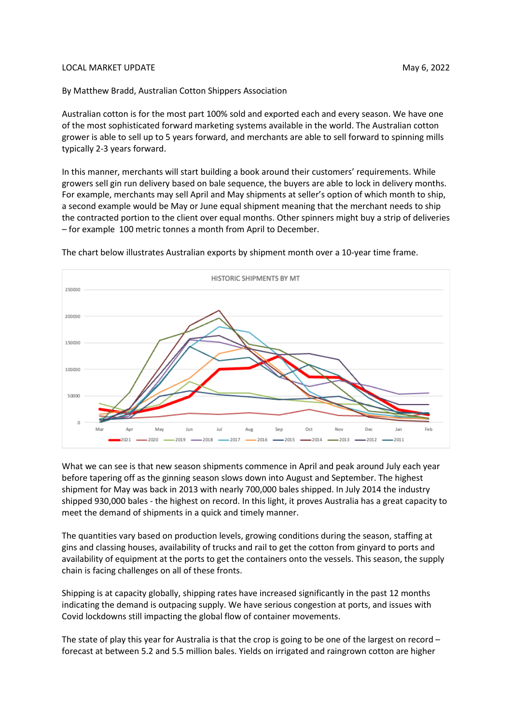## LOCAL MARKET UPDATE NARRASHIPS AND THE SERVICE OF STATE AND MAY 6, 2022

By Matthew Bradd, Australian Cotton Shippers Association

Australian cotton is for the most part 100% sold and exported each and every season. We have one of the most sophisticated forward marketing systems available in the world. The Australian cotton grower is able to sell up to 5 years forward, and merchants are able to sell forward to spinning mills typically 2-3 years forward.

In this manner, merchants will start building a book around their customers' requirements. While growers sell gin run delivery based on bale sequence, the buyers are able to lock in delivery months. For example, merchants may sell April and May shipments at seller's option of which month to ship, a second example would be May or June equal shipment meaning that the merchant needs to ship the contracted portion to the client over equal months. Other spinners might buy a strip of deliveries – for example 100 metric tonnes a month from April to December.



The chart below illustrates Australian exports by shipment month over a 10-year time frame.

What we can see is that new season shipments commence in April and peak around July each year before tapering off as the ginning season slows down into August and September. The highest shipment for May was back in 2013 with nearly 700,000 bales shipped. In July 2014 the industry shipped 930,000 bales - the highest on record. In this light, it proves Australia has a great capacity to meet the demand of shipments in a quick and timely manner.

The quantities vary based on production levels, growing conditions during the season, staffing at gins and classing houses, availability of trucks and rail to get the cotton from ginyard to ports and availability of equipment at the ports to get the containers onto the vessels. This season, the supply chain is facing challenges on all of these fronts.

Shipping is at capacity globally, shipping rates have increased significantly in the past 12 months indicating the demand is outpacing supply. We have serious congestion at ports, and issues with Covid lockdowns still impacting the global flow of container movements.

The state of play this year for Australia is that the crop is going to be one of the largest on record – forecast at between 5.2 and 5.5 million bales. Yields on irrigated and raingrown cotton are higher